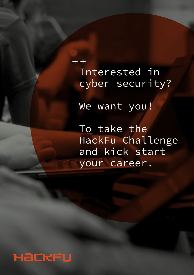$+ +$ Interested in cyber security?

We want you!

To take the HackFu Challenge and kick start your career.